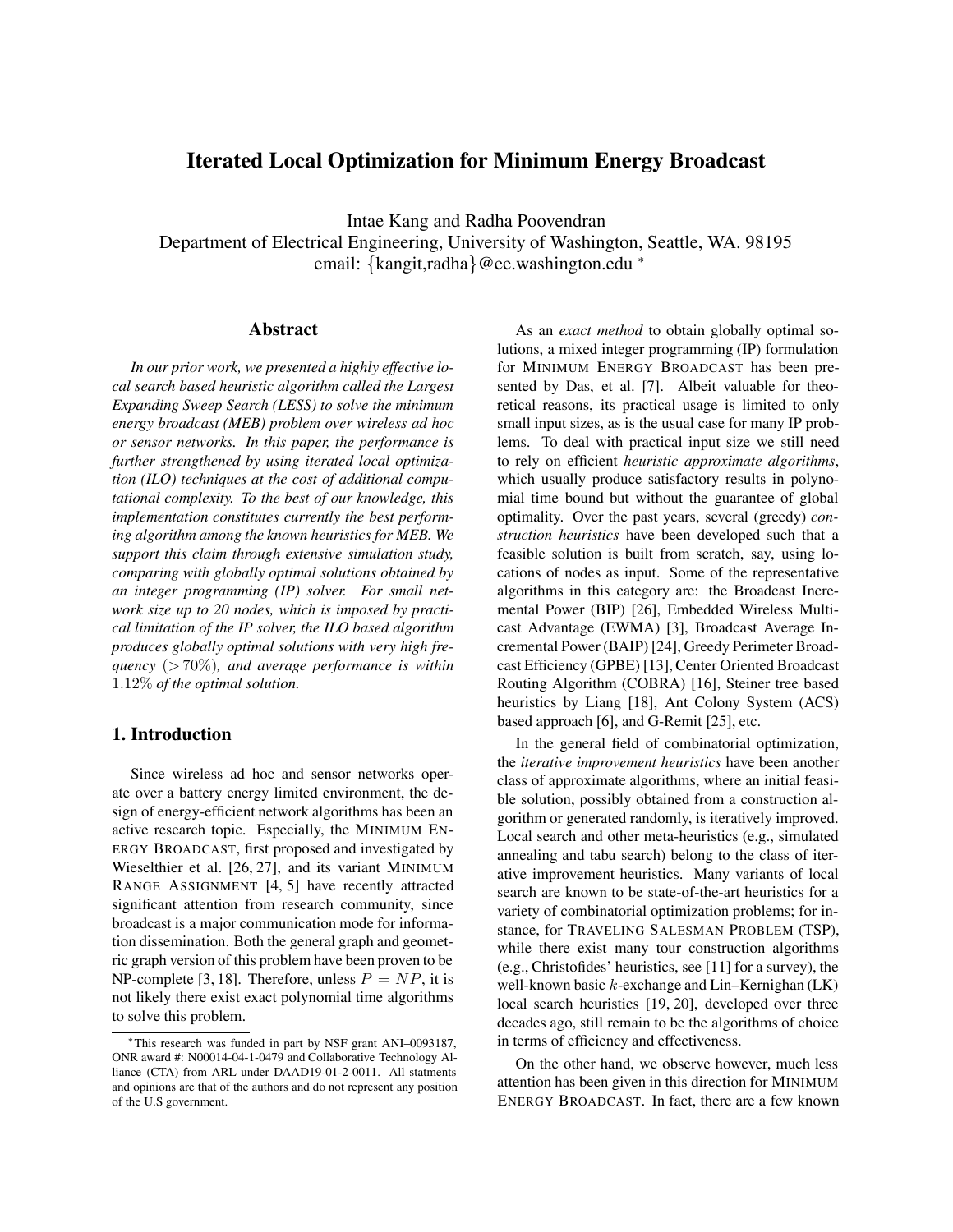# **Iterated Local Optimization for Minimum Energy Broadcast**

Intae Kang and Radha Poovendran

Department of Electrical Engineering, University of Washington, Seattle, WA. 98195 email: {kangit,radha}@ee.washington.edu <sup>∗</sup>

#### **Abstract**

*In our prior work, we presented a highly effective local search based heuristic algorithm called the Largest Expanding Sweep Search (LESS) to solve the minimum energy broadcast (MEB) problem over wireless ad hoc or sensor networks. In this paper, the performance is further strengthened by using iterated local optimization (ILO) techniques at the cost of additional computational complexity. To the best of our knowledge, this implementation constitutes currently the best performing algorithm among the known heuristics for MEB. We support this claim through extensive simulation study, comparing with globally optimal solutions obtained by an integer programming (IP) solver. For small network size up to 20 nodes, which is imposed by practical limitation of the IP solver, the ILO based algorithm produces globally optimal solutions with very high frequency* (> 70%)*, and average performance is within* 1.12% *of the optimal solution.*

## **1. Introduction**

Since wireless ad hoc and sensor networks operate over a battery energy limited environment, the design of energy-efficient network algorithms has been an active research topic. Especially, the MINIMUM EN-ERGY BROADCAST, first proposed and investigated by Wieselthier et al. [26, 27], and its variant MINIMUM RANGE ASSIGNMENT [4, 5] have recently attracted significant attention from research community, since broadcast is a major communication mode for information dissemination. Both the general graph and geometric graph version of this problem have been proven to be NP-complete [3, 18]. Therefore, unless  $P = NP$ , it is not likely there exist exact polynomial time algorithms to solve this problem.

As an *exact method* to obtain globally optimal solutions, a mixed integer programming (IP) formulation for MINIMUM ENERGY BROADCAST has been presented by Das, et al. [7]. Albeit valuable for theoretical reasons, its practical usage is limited to only small input sizes, as is the usual case for many IP problems. To deal with practical input size we still need to rely on efficient *heuristic approximate algorithms*, which usually produce satisfactory results in polynomial time bound but without the guarantee of global optimality. Over the past years, several (greedy) *construction heuristics* have been developed such that a feasible solution is built from scratch, say, using locations of nodes as input. Some of the representative algorithms in this category are: the Broadcast Incremental Power (BIP) [26], Embedded Wireless Multicast Advantage (EWMA) [3], Broadcast Average Incremental Power (BAIP) [24], Greedy Perimeter Broadcast Efficiency (GPBE) [13], Center Oriented Broadcast Routing Algorithm (COBRA) [16], Steiner tree based heuristics by Liang [18], Ant Colony System (ACS) based approach [6], and G-Remit [25], etc.

In the general field of combinatorial optimization, the *iterative improvement heuristics* have been another class of approximate algorithms, where an initial feasible solution, possibly obtained from a construction algorithm or generated randomly, is iteratively improved. Local search and other meta-heuristics (e.g., simulated annealing and tabu search) belong to the class of iterative improvement heuristics. Many variants of local search are known to be state-of-the-art heuristics for a variety of combinatorial optimization problems; for instance, for TRAVELING SALESMAN PROBLEM (TSP), while there exist many tour construction algorithms (e.g., Christofides' heuristics, see [11] for a survey), the well-known basic  $k$ -exchange and Lin–Kernighan  $(LK)$ local search heuristics [19, 20], developed over three decades ago, still remain to be the algorithms of choice in terms of efficiency and effectiveness.

On the other hand, we observe however, much less attention has been given in this direction for MINIMUM ENERGY BROADCAST. In fact, there are a few known

<sup>∗</sup>This research was funded in part by NSF grant ANI–0093187, ONR award #: N00014-04-1-0479 and Collaborative Technology Alliance (CTA) from ARL under DAAD19-01-2-0011. All statments and opinions are that of the authors and do not represent any position of the U.S government.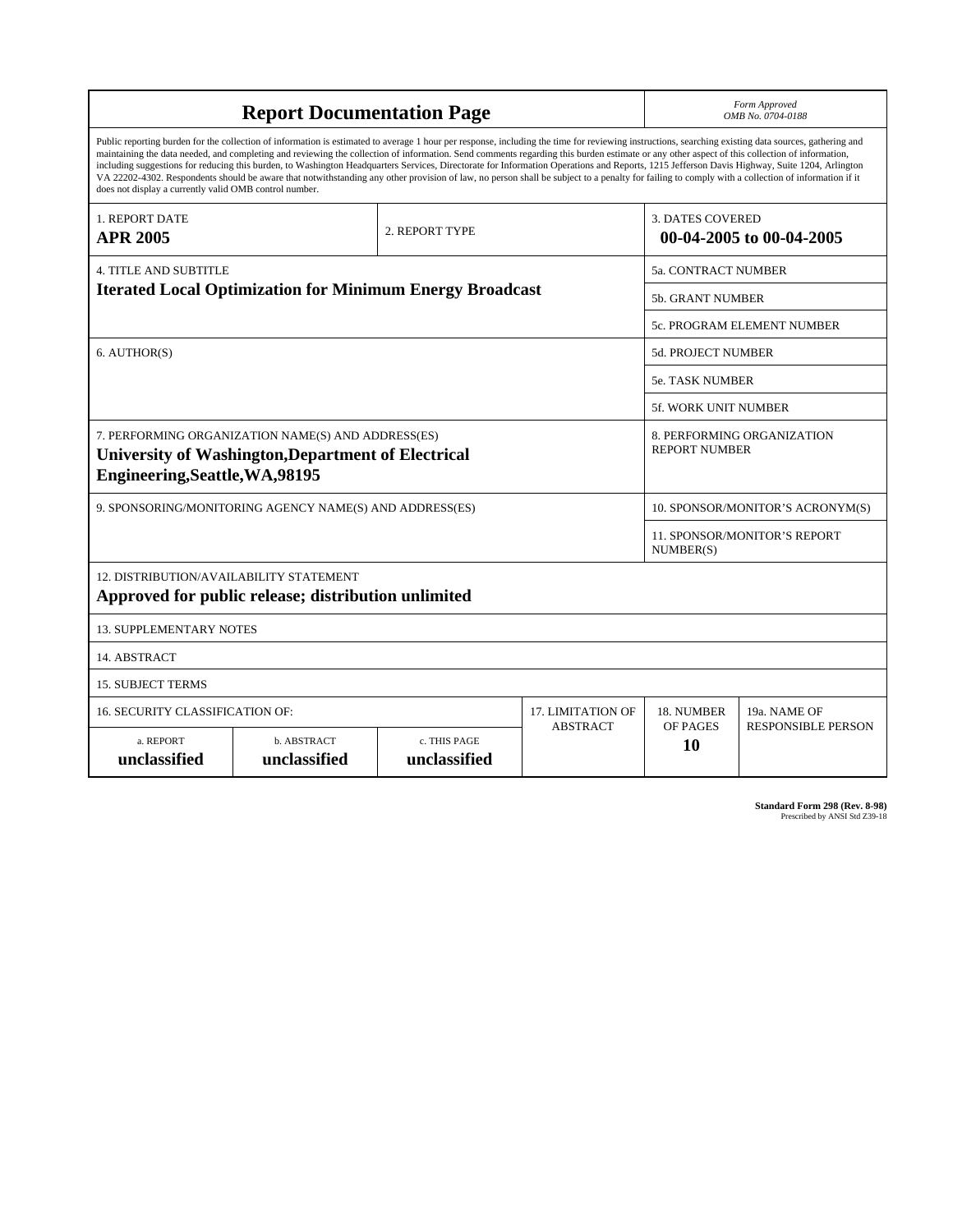| <b>Report Documentation Page</b>                                                                                                                                                                                                                                                                                                                                                                                                                                                                                                                                                                                                                                                                                                                                                                                                                                   |                             |                              |                            | Form Approved<br>OMB No. 0704-0188                  |                           |  |
|--------------------------------------------------------------------------------------------------------------------------------------------------------------------------------------------------------------------------------------------------------------------------------------------------------------------------------------------------------------------------------------------------------------------------------------------------------------------------------------------------------------------------------------------------------------------------------------------------------------------------------------------------------------------------------------------------------------------------------------------------------------------------------------------------------------------------------------------------------------------|-----------------------------|------------------------------|----------------------------|-----------------------------------------------------|---------------------------|--|
| Public reporting burden for the collection of information is estimated to average 1 hour per response, including the time for reviewing instructions, searching existing data sources, gathering and<br>maintaining the data needed, and completing and reviewing the collection of information. Send comments regarding this burden estimate or any other aspect of this collection of information,<br>including suggestions for reducing this burden, to Washington Headquarters Services, Directorate for Information Operations and Reports, 1215 Jefferson Davis Highway, Suite 1204, Arlington<br>VA 22202-4302. Respondents should be aware that notwithstanding any other provision of law, no person shall be subject to a penalty for failing to comply with a collection of information if it<br>does not display a currently valid OMB control number. |                             |                              |                            |                                                     |                           |  |
| 1. REPORT DATE<br><b>APR 2005</b>                                                                                                                                                                                                                                                                                                                                                                                                                                                                                                                                                                                                                                                                                                                                                                                                                                  |                             | 2. REPORT TYPE               |                            | <b>3. DATES COVERED</b><br>00-04-2005 to 00-04-2005 |                           |  |
| <b>4. TITLE AND SUBTITLE</b>                                                                                                                                                                                                                                                                                                                                                                                                                                                                                                                                                                                                                                                                                                                                                                                                                                       |                             |                              | <b>5a. CONTRACT NUMBER</b> |                                                     |                           |  |
| <b>Iterated Local Optimization for Minimum Energy Broadcast</b>                                                                                                                                                                                                                                                                                                                                                                                                                                                                                                                                                                                                                                                                                                                                                                                                    |                             |                              |                            | <b>5b. GRANT NUMBER</b>                             |                           |  |
|                                                                                                                                                                                                                                                                                                                                                                                                                                                                                                                                                                                                                                                                                                                                                                                                                                                                    |                             |                              |                            | 5c. PROGRAM ELEMENT NUMBER                          |                           |  |
| 6. AUTHOR(S)                                                                                                                                                                                                                                                                                                                                                                                                                                                                                                                                                                                                                                                                                                                                                                                                                                                       |                             |                              |                            | <b>5d. PROJECT NUMBER</b>                           |                           |  |
|                                                                                                                                                                                                                                                                                                                                                                                                                                                                                                                                                                                                                                                                                                                                                                                                                                                                    |                             |                              |                            | <b>5e. TASK NUMBER</b>                              |                           |  |
|                                                                                                                                                                                                                                                                                                                                                                                                                                                                                                                                                                                                                                                                                                                                                                                                                                                                    |                             |                              |                            | <b>5f. WORK UNIT NUMBER</b>                         |                           |  |
| 7. PERFORMING ORGANIZATION NAME(S) AND ADDRESS(ES)<br>8. PERFORMING ORGANIZATION<br><b>REPORT NUMBER</b><br><b>University of Washington, Department of Electrical</b><br>Engineering, Seattle, WA, 98195                                                                                                                                                                                                                                                                                                                                                                                                                                                                                                                                                                                                                                                           |                             |                              |                            |                                                     |                           |  |
| 9. SPONSORING/MONITORING AGENCY NAME(S) AND ADDRESS(ES)                                                                                                                                                                                                                                                                                                                                                                                                                                                                                                                                                                                                                                                                                                                                                                                                            |                             |                              |                            | 10. SPONSOR/MONITOR'S ACRONYM(S)                    |                           |  |
|                                                                                                                                                                                                                                                                                                                                                                                                                                                                                                                                                                                                                                                                                                                                                                                                                                                                    |                             |                              |                            | <b>11. SPONSOR/MONITOR'S REPORT</b><br>NUMBER(S)    |                           |  |
| 12. DISTRIBUTION/AVAILABILITY STATEMENT<br>Approved for public release; distribution unlimited                                                                                                                                                                                                                                                                                                                                                                                                                                                                                                                                                                                                                                                                                                                                                                     |                             |                              |                            |                                                     |                           |  |
| <b>13. SUPPLEMENTARY NOTES</b>                                                                                                                                                                                                                                                                                                                                                                                                                                                                                                                                                                                                                                                                                                                                                                                                                                     |                             |                              |                            |                                                     |                           |  |
| 14. ABSTRACT                                                                                                                                                                                                                                                                                                                                                                                                                                                                                                                                                                                                                                                                                                                                                                                                                                                       |                             |                              |                            |                                                     |                           |  |
| <b>15. SUBJECT TERMS</b>                                                                                                                                                                                                                                                                                                                                                                                                                                                                                                                                                                                                                                                                                                                                                                                                                                           |                             |                              |                            |                                                     |                           |  |
| 16. SECURITY CLASSIFICATION OF:                                                                                                                                                                                                                                                                                                                                                                                                                                                                                                                                                                                                                                                                                                                                                                                                                                    | 17. LIMITATION OF           | 18. NUMBER                   | 19a. NAME OF               |                                                     |                           |  |
| a. REPORT<br>unclassified                                                                                                                                                                                                                                                                                                                                                                                                                                                                                                                                                                                                                                                                                                                                                                                                                                          | b. ABSTRACT<br>unclassified | c. THIS PAGE<br>unclassified | <b>ABSTRACT</b>            | OF PAGES<br><b>10</b>                               | <b>RESPONSIBLE PERSON</b> |  |

**Standard Form 298 (Rev. 8-98)**<br>Prescribed by ANSI Std Z39-18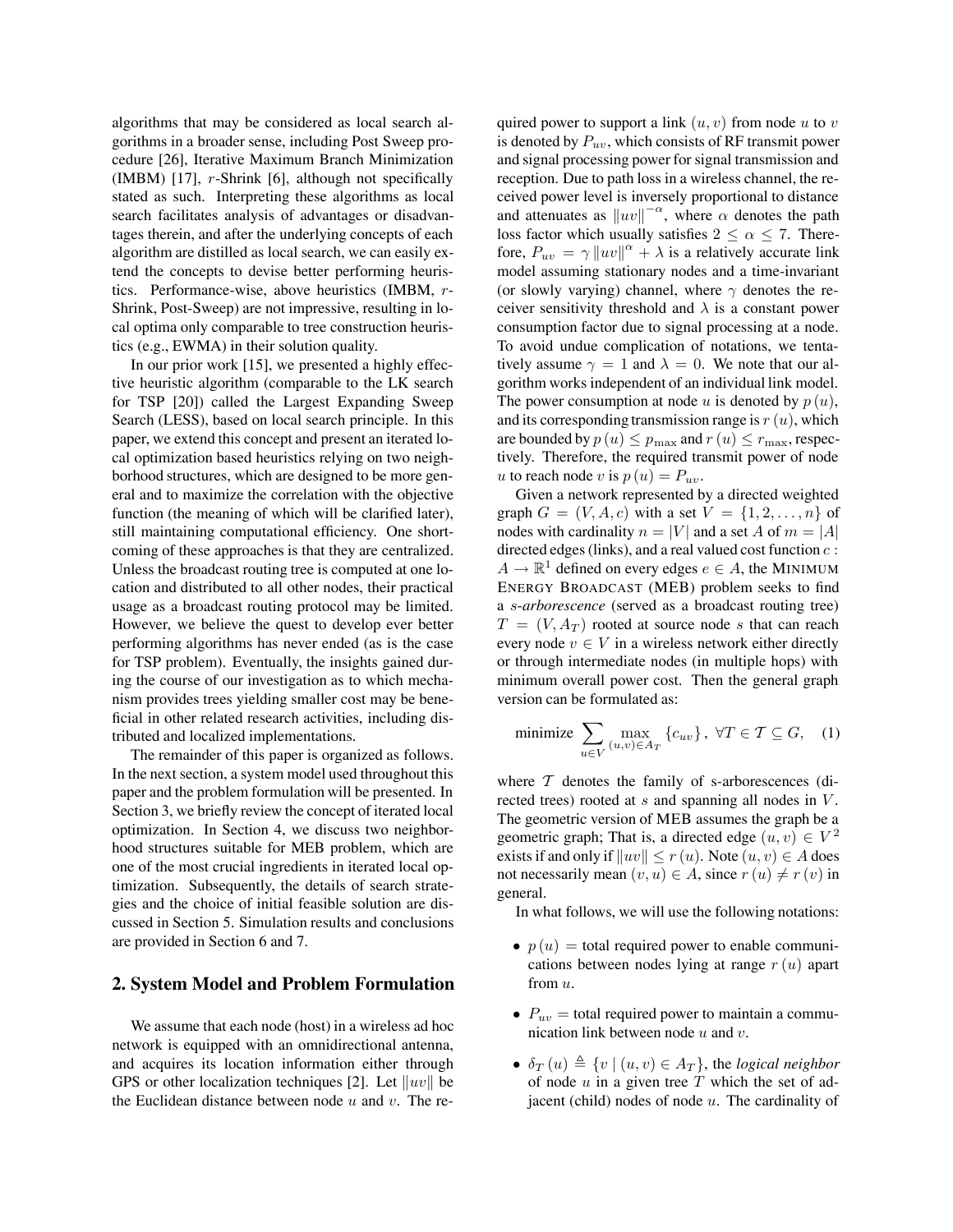algorithms that may be considered as local search algorithms in a broader sense, including Post Sweep procedure [26], Iterative Maximum Branch Minimization (IMBM) [17], r-Shrink [6], although not specifically stated as such. Interpreting these algorithms as local search facilitates analysis of advantages or disadvantages therein, and after the underlying concepts of each algorithm are distilled as local search, we can easily extend the concepts to devise better performing heuristics. Performance-wise, above heuristics (IMBM, r-Shrink, Post-Sweep) are not impressive, resulting in local optima only comparable to tree construction heuristics (e.g., EWMA) in their solution quality.

In our prior work [15], we presented a highly effective heuristic algorithm (comparable to the LK search for TSP [20]) called the Largest Expanding Sweep Search (LESS), based on local search principle. In this paper, we extend this concept and present an iterated local optimization based heuristics relying on two neighborhood structures, which are designed to be more general and to maximize the correlation with the objective function (the meaning of which will be clarified later), still maintaining computational efficiency. One shortcoming of these approaches is that they are centralized. Unless the broadcast routing tree is computed at one location and distributed to all other nodes, their practical usage as a broadcast routing protocol may be limited. However, we believe the quest to develop ever better performing algorithms has never ended (as is the case for TSP problem). Eventually, the insights gained during the course of our investigation as to which mechanism provides trees yielding smaller cost may be beneficial in other related research activities, including distributed and localized implementations.

The remainder of this paper is organized as follows. In the next section, a system model used throughout this paper and the problem formulation will be presented. In Section 3, we briefly review the concept of iterated local optimization. In Section 4, we discuss two neighborhood structures suitable for MEB problem, which are one of the most crucial ingredients in iterated local optimization. Subsequently, the details of search strategies and the choice of initial feasible solution are discussed in Section 5. Simulation results and conclusions are provided in Section 6 and 7.

#### **2. System Model and Problem Formulation**

We assume that each node (host) in a wireless ad hoc network is equipped with an omnidirectional antenna, and acquires its location information either through GPS or other localization techniques [2]. Let  $||uv||$  be the Euclidean distance between node  $u$  and  $v$ . The re-

quired power to support a link  $(u, v)$  from node u to v is denoted by  $P_{uv}$ , which consists of RF transmit power and signal processing power for signal transmission and reception. Due to path loss in a wireless channel, the received power level is inversely proportional to distance and attenuates as  $\|uv\|^{-\alpha}$ , where  $\alpha$  denotes the path loss factor which usually satisfies  $2 < \alpha < 7$ . Therefore,  $P_{uv} = \gamma ||uv||^{\alpha} + \lambda$  is a relatively accurate link model assuming stationary nodes and a time-invariant (or slowly varying) channel, where  $\gamma$  denotes the receiver sensitivity threshold and  $\lambda$  is a constant power consumption factor due to signal processing at a node. To avoid undue complication of notations, we tentatively assume  $\gamma = 1$  and  $\lambda = 0$ . We note that our algorithm works independent of an individual link model. The power consumption at node u is denoted by  $p(u)$ , and its corresponding transmission range is  $r(u)$ , which are bounded by  $p(u) \leq p_{\text{max}}$  and  $r(u) \leq r_{\text{max}}$ , respectively. Therefore, the required transmit power of node u to reach node v is  $p(u) = P_{uv}$ .

Given a network represented by a directed weighted graph  $G = (V, A, c)$  with a set  $V = \{1, 2, ..., n\}$  of nodes with cardinality  $n = |V|$  and a set A of  $m = |A|$ directed edges (links), and a real valued cost function  $c$ :  $A \to \mathbb{R}^1$  defined on every edges  $e \in A$ , the MINIMUM ENERGY BROADCAST (MEB) problem seeks to find a s-*arborescence* (served as a broadcast routing tree)  $T = (V, A_T)$  rooted at source node s that can reach every node  $v \in V$  in a wireless network either directly or through intermediate nodes (in multiple hops) with minimum overall power cost. Then the general graph version can be formulated as:

$$
\text{minimize } \sum_{u \in V} \max_{(u,v) \in A_T} \{c_{uv}\}, \ \forall T \in \mathcal{T} \subseteq G, \quad (1)
$$

where  $T$  denotes the family of s-arborescences (directed trees) rooted at s and spanning all nodes in V. The geometric version of MEB assumes the graph be a geometric graph; That is, a directed edge  $(u, v) \in V^2$ exists if and only if  $||uv|| \le r(u)$ . Note  $(u, v) \in A$  does not necessarily mean  $(v, u) \in A$ , since  $r(u) \neq r(v)$  in general.

In what follows, we will use the following notations:

- $p(u)$  = total required power to enable communications between nodes lying at range  $r(u)$  apart from u.
- $P_{uv}$  = total required power to maintain a communication link between node  $u$  and  $v$ .
- $\delta_T(u) \triangleq \{v \mid (u, v) \in A_T\}$ , the *logical neighbor* of node  $u$  in a given tree  $T$  which the set of adjacent (child) nodes of node  $u$ . The cardinality of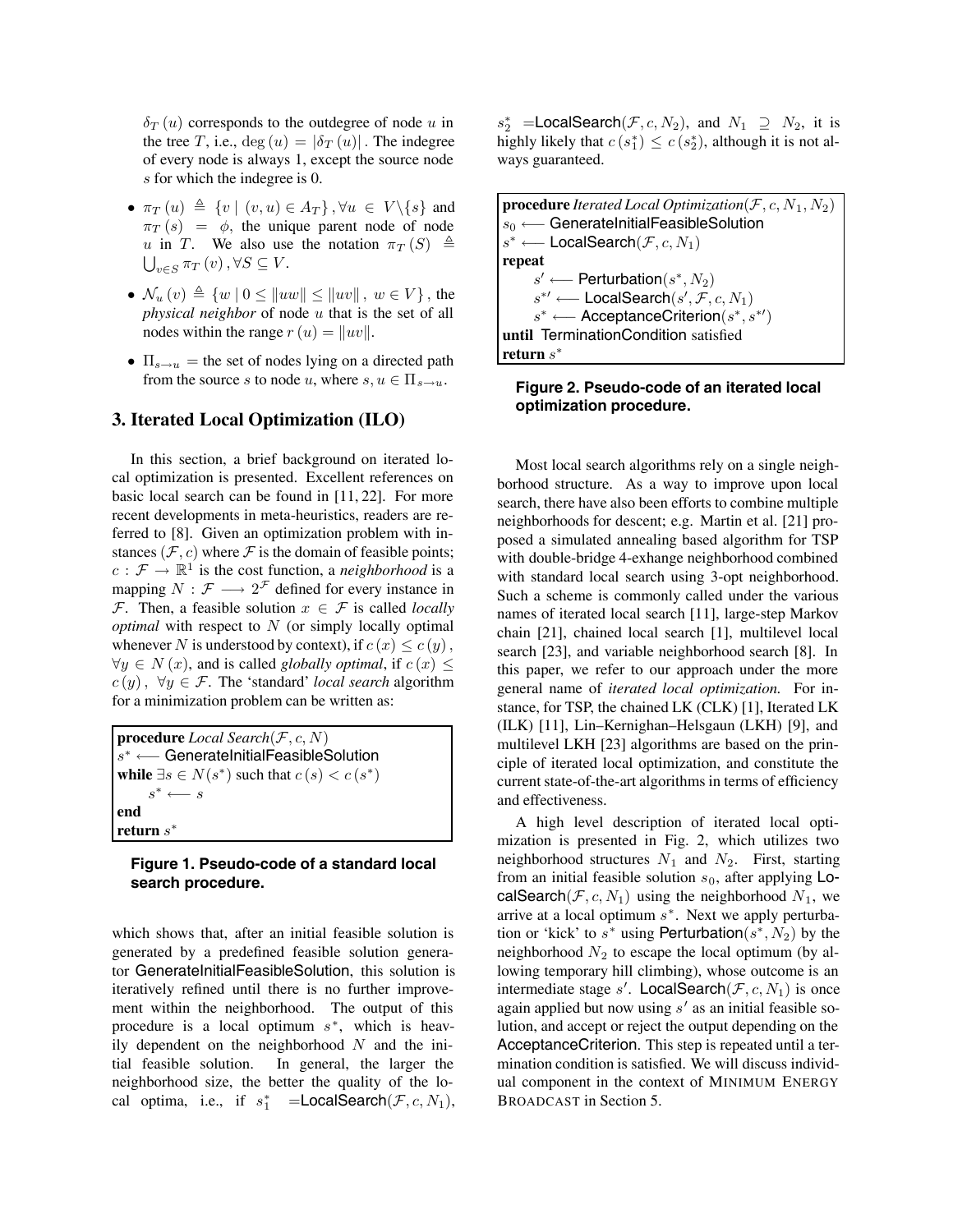$\delta_T(u)$  corresponds to the outdegree of node u in the tree T, i.e.,  $deg(u) = |\delta_T(u)|$ . The indegree of every node is always 1, except the source node s for which the indegree is 0.

- $\pi_T(u) \triangleq \{v \mid (v, u) \in A_T\}, \forall u \in V \setminus \{s\}$  and  $\pi_T(s) = \phi$ , the unique parent node of node u in T. We also use the notation  $\pi_T(S) \triangleq$  $\bigcup_{v\in S}\pi_T(v),\forall S\subseteq V.$
- $\mathcal{N}_u(v) \triangleq \{w | 0 \le ||uw|| \le ||uv||, w \in V\}$ , the *physical neighbor* of node u that is the set of all nodes within the range  $r(u) = ||uv||$ .
- $\Pi_{s\to u}$  = the set of nodes lying on a directed path from the source s to node u, where  $s, u \in \Pi_{s \to u}$ .

## **3. Iterated Local Optimization (ILO)**

In this section, a brief background on iterated local optimization is presented. Excellent references on basic local search can be found in [11, 22]. For more recent developments in meta-heuristics, readers are referred to [8]. Given an optimization problem with instances ( $\mathcal{F}, c$ ) where  $\mathcal F$  is the domain of feasible points;  $c : \mathcal{F} \to \mathbb{R}^1$  is the cost function, a *neighborhood* is a mapping  $N : \mathcal{F} \longrightarrow 2^{\mathcal{F}}$  defined for every instance in F. Then, a feasible solution  $x \in \mathcal{F}$  is called *locally optimal* with respect to N (or simply locally optimal whenever N is understood by context), if  $c(x) \leq c(y)$ ,  $\forall y \in N(x)$ , and is called *globally optimal*, if  $c(x) \leq$  $c(y)$ ,  $\forall y \in \mathcal{F}$ . The 'standard' *local search* algorithm for a minimization problem can be written as:

**procedure** *Local Search*(F, c, N) s<sup>∗</sup> ←− GenerateInitialFeasibleSolution **while**  $∃s ∈ N(s<sup>*</sup>)$  such that  $c(s) < c(s<sup>*</sup>)$  $s^* \longleftarrow s$ **end return** s<sup>∗</sup>

## **Figure 1. Pseudo-code of a standard local search procedure.**

which shows that, after an initial feasible solution is generated by a predefined feasible solution generator GenerateInitialFeasibleSolution, this solution is iteratively refined until there is no further improvement within the neighborhood. The output of this procedure is a local optimum  $s^*$ , which is heavily dependent on the neighborhood  $N$  and the initial feasible solution. In general, the larger the neighborhood size, the better the quality of the local optima, i.e., if  $s_1^*$  = **LocalSearch** $(\mathcal{F}, c, N_1)$ ,

 $s_2^*$  =**LocalSearch** $(\mathcal{F}, c, N_2)$ , and  $N_1 \supseteq N_2$ , it is highly likely that  $c(s_1^*) \leq c(s_2^*)$ , although it is not always guaranteed.

| <b>procedure</b> Iterated Local Optimization $(\mathcal{F}, c, N_1, N_2)$ |  |  |  |  |
|---------------------------------------------------------------------------|--|--|--|--|
| $ s_0 \longleftarrow$ GenerateInitialFeasibleSolution                     |  |  |  |  |
| $s^* \longleftarrow$ LocalSearch $(\mathcal{F}, c, N_1)$                  |  |  |  |  |
| repeat                                                                    |  |  |  |  |
| $s' \longleftarrow$ Perturbation( $s^*, N_2$ )                            |  |  |  |  |
| $s^{*'} \longleftarrow$ LocalSearch $(s', \mathcal{F}, c, N_1)$           |  |  |  |  |
| $s^* \longleftarrow$ AcceptanceCriterion $(s^*, s^{*\prime})$             |  |  |  |  |
| until TerminationCondition satisfied                                      |  |  |  |  |
| return $s^*$                                                              |  |  |  |  |

### **Figure 2. Pseudo-code of an iterated local optimization procedure.**

Most local search algorithms rely on a single neighborhood structure. As a way to improve upon local search, there have also been efforts to combine multiple neighborhoods for descent; e.g. Martin et al. [21] proposed a simulated annealing based algorithm for TSP with double-bridge 4-exhange neighborhood combined with standard local search using 3-opt neighborhood. Such a scheme is commonly called under the various names of iterated local search [11], large-step Markov chain [21], chained local search [1], multilevel local search [23], and variable neighborhood search [8]. In this paper, we refer to our approach under the more general name of *iterated local optimization.* For instance, for TSP, the chained LK (CLK) [1], Iterated LK (ILK) [11], Lin–Kernighan–Helsgaun (LKH) [9], and multilevel LKH [23] algorithms are based on the principle of iterated local optimization, and constitute the current state-of-the-art algorithms in terms of efficiency and effectiveness.

A high level description of iterated local optimization is presented in Fig. 2, which utilizes two neighborhood structures  $N_1$  and  $N_2$ . First, starting from an initial feasible solution  $s_0$ , after applying LocalSearch( $F, c, N_1$ ) using the neighborhood  $N_1$ , we arrive at a local optimum  $s^*$ . Next we apply perturbation or 'kick' to s<sup>\*</sup> using Perturbation( $s^*$ ,  $N_2$ ) by the neighborhood  $N_2$  to escape the local optimum (by allowing temporary hill climbing), whose outcome is an intermediate stage s'. LocalSearch $(\mathcal{F}, c, N_1)$  is once again applied but now using  $s'$  as an initial feasible solution, and accept or reject the output depending on the AcceptanceCriterion. This step is repeated until a termination condition is satisfied. We will discuss individual component in the context of MINIMUM ENERGY BROADCAST in Section 5.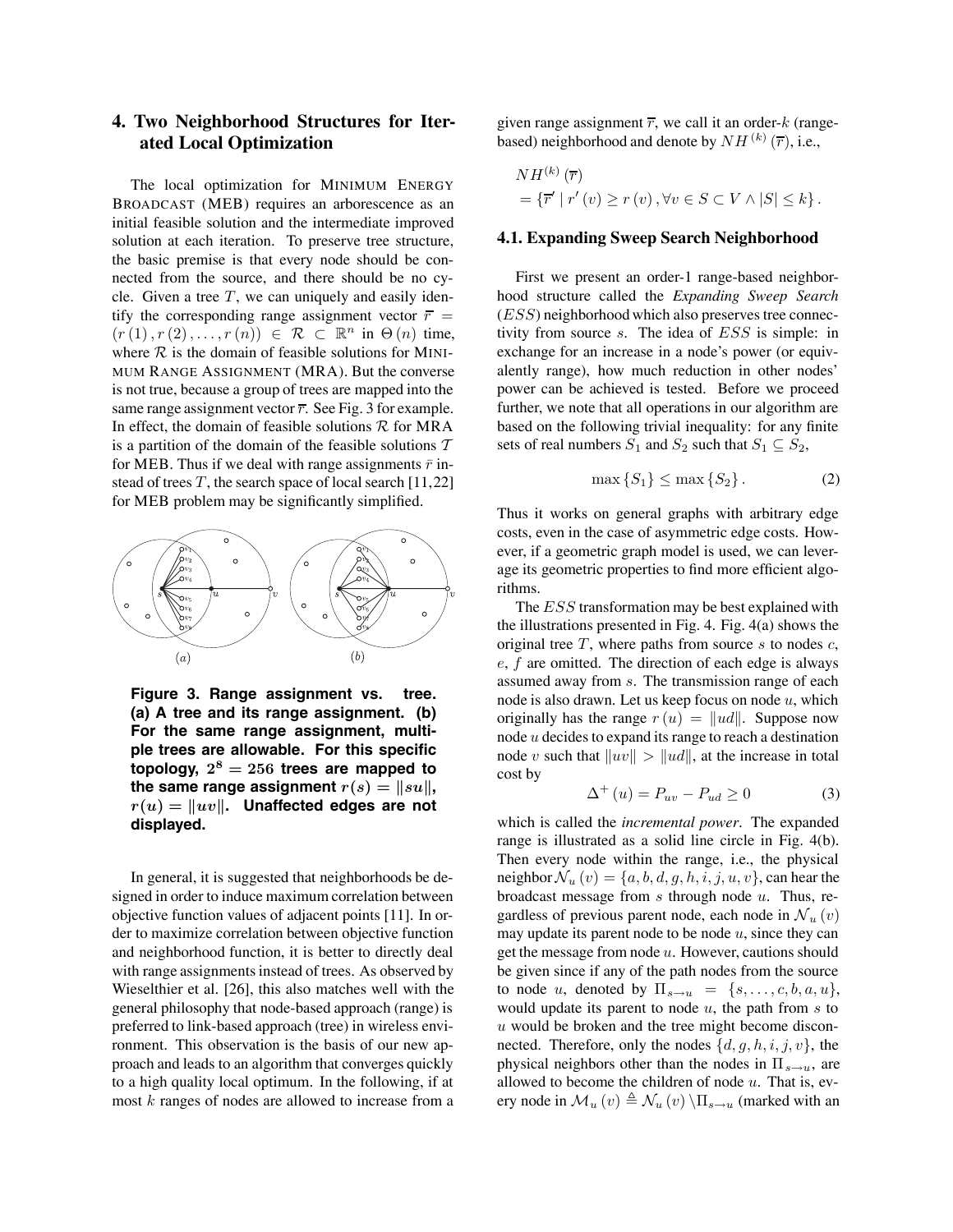## **4. Two Neighborhood Structures for Iterated Local Optimization**

The local optimization for MINIMUM ENERGY BROADCAST (MEB) requires an arborescence as an initial feasible solution and the intermediate improved solution at each iteration. To preserve tree structure, the basic premise is that every node should be connected from the source, and there should be no cycle. Given a tree  $T$ , we can uniquely and easily identify the corresponding range assignment vector  $\overline{r}$  =  $(r (1), r (2), \ldots, r (n)) \in \mathcal{R} \subset \mathbb{R}^n$  in  $\Theta(n)$  time, where  $R$  is the domain of feasible solutions for MINI-MUM RANGE ASSIGNMENT (MRA). But the converse is not true, because a group of trees are mapped into the same range assignment vector  $\overline{r}$ . See Fig. 3 for example. In effect, the domain of feasible solutions  $R$  for MRA is a partition of the domain of the feasible solutions  $T$ for MEB. Thus if we deal with range assignments  $\bar{r}$  instead of trees  $T$ , the search space of local search [11,22] for MEB problem may be significantly simplified.



**Figure 3. Range assignment vs. tree. (a) A tree and its range assignment. (b) For the same range assignment, multiple trees are allowable. For this specific topology,**  $2^8 = 256$  **trees are mapped to the same range assignment**  $r(s) = ||su||$ ,  $r(u) = ||uv||$ . Unaffected edges are not **displayed.**

In general, it is suggested that neighborhoods be designed in order to induce maximum correlation between objective function values of adjacent points [11]. In order to maximize correlation between objective function and neighborhood function, it is better to directly deal with range assignments instead of trees. As observed by Wieselthier et al. [26], this also matches well with the general philosophy that node-based approach (range) is preferred to link-based approach (tree) in wireless environment. This observation is the basis of our new approach and leads to an algorithm that converges quickly to a high quality local optimum. In the following, if at most k ranges of nodes are allowed to increase from a

given range assignment  $\overline{r}$ , we call it an order-k (rangebased) neighborhood and denote by  $NH^{(k)}(\overline{r})$ , i.e.,

$$
NH^{(k)}(\overline{r})
$$
  
= { $\overline{r' | r'(v) \ge r(v), \forall v \in S \subset V \land |S| \le k}$  }.

#### **4.1. Expanding Sweep Search Neighborhood**

First we present an order-1 range-based neighborhood structure called the *Expanding Sweep Search* (ESS) neighborhood which also preserves tree connectivity from source s. The idea of ESS is simple: in exchange for an increase in a node's power (or equivalently range), how much reduction in other nodes' power can be achieved is tested. Before we proceed further, we note that all operations in our algorithm are based on the following trivial inequality: for any finite sets of real numbers  $S_1$  and  $S_2$  such that  $S_1 \subseteq S_2$ ,

$$
\max\left\{S_1\right\} \le \max\left\{S_2\right\}.\tag{2}
$$

Thus it works on general graphs with arbitrary edge costs, even in the case of asymmetric edge costs. However, if a geometric graph model is used, we can leverage its geometric properties to find more efficient algorithms.

The *ESS* transformation may be best explained with the illustrations presented in Fig. 4. Fig. 4(a) shows the original tree  $T$ , where paths from source s to nodes  $c$ ,  $e, f$  are omitted. The direction of each edge is always assumed away from s. The transmission range of each node is also drawn. Let us keep focus on node  $u$ , which originally has the range  $r(u) = ||ud||$ . Suppose now node u decides to expand its range to reach a destination node v such that  $||uv|| > ||ud||$ , at the increase in total cost by

$$
\Delta^{+}\left(u\right) = P_{uv} - P_{ud} \ge 0\tag{3}
$$

which is called the *incremental power*. The expanded range is illustrated as a solid line circle in Fig. 4(b). Then every node within the range, i.e., the physical neighbor  $\mathcal{N}_u(v) = \{a, b, d, g, h, i, j, u, v\}$ , can hear the broadcast message from  $s$  through node  $u$ . Thus, regardless of previous parent node, each node in  $\mathcal{N}_u(v)$ may update its parent node to be node  $u$ , since they can get the message from node  $u$ . However, cautions should be given since if any of the path nodes from the source to node u, denoted by  $\Pi_{s\to u} = \{s, \ldots, c, b, a, u\},\$ would update its parent to node  $u$ , the path from  $s$  to  $u$  would be broken and the tree might become disconnected. Therefore, only the nodes  $\{d, g, h, i, j, v\}$ , the physical neighbors other than the nodes in  $\Pi_{s\to u}$ , are allowed to become the children of node  $u$ . That is, every node in  $\mathcal{M}_u(v) \triangleq \mathcal{N}_u(v) \setminus \Pi_{s\to u}$  (marked with an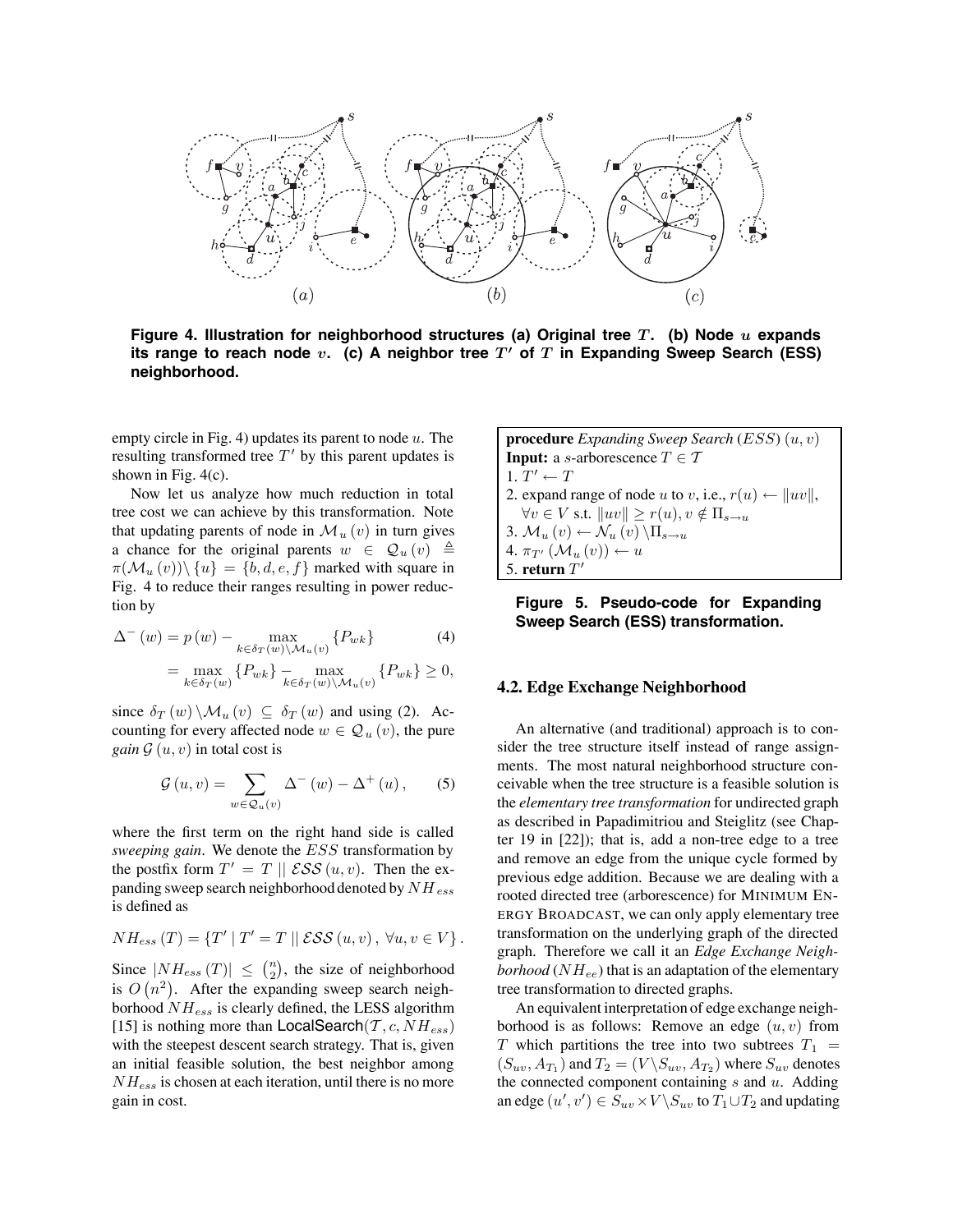

**Figure 4. Illustration for neighborhood structures (a) Original tree** *T* **. (b) Node** *u* **expands** its range to reach node  $v$ . (c) A neighbor tree  $T'$  of  $T$  in Expanding Sweep Search (ESS) **neighborhood.**

empty circle in Fig. 4) updates its parent to node  $u$ . The resulting transformed tree  $T'$  by this parent updates is shown in Fig. 4(c).

Now let us analyze how much reduction in total tree cost we can achieve by this transformation. Note that updating parents of node in  $\mathcal{M}_u(v)$  in turn gives a chance for the original parents  $w \in \mathcal{Q}_u(v) \triangleq$  $\pi(\mathcal{M}_u(v))\setminus\{u\} = \{b, d, e, f\}$  marked with square in Fig. 4 to reduce their ranges resulting in power reduction by

$$
\Delta^{-}(w) = p(w) - \max_{k \in \delta_T(w) \backslash \mathcal{M}_u(v)} \{P_{wk}\}
$$
\n(4)

$$
= \max_{k \in \delta_T(w)} \{ P_{wk} \} - \max_{k \in \delta_T(w) \setminus \mathcal{M}_u(v)} \{ P_{wk} \} \ge 0,
$$

since  $\delta_T(w) \setminus \mathcal{M}_u(v) \subseteq \delta_T(w)$  and using (2). Accounting for every affected node  $w \in \mathcal{Q}_u(v)$ , the pure *gain*  $G(u, v)$  in total cost is

$$
\mathcal{G}(u,v) = \sum_{w \in \mathcal{Q}_u(v)} \Delta^-(w) - \Delta^+(u), \qquad (5)
$$

where the first term on the right hand side is called *sweeping gain*. We denote the ESS transformation by the postfix form  $T' = T \parallel \mathcal{ESS}(u, v)$ . Then the expanding sweep search neighborhood denoted by  $NH_{ess}$ is defined as

$$
NH_{ess}(T) = \{T' | T' = T | \mid \mathcal{ESS}(u, v), \forall u, v \in V\}.
$$

Since  $|NH_{ess}(T)| \leq {n \choose 2}$ , the size of neighborhood is  $O(n^2)$ . After the expanding sweep search neighborhood  $NH_{ess}$  is clearly defined, the LESS algorithm [15] is nothing more than  $\textsf{LocalSearch}(\mathcal{T}, c, NH_{ess})$ with the steepest descent search strategy. That is, given an initial feasible solution, the best neighbor among  $NH_{ess}$  is chosen at each iteration, until there is no more gain in cost.

**procedure** *Expanding Sweep Search* (ESS) (u, v) **Input:** a *s*-arborescence  $T \in \mathcal{T}$ 1.  $T' \leftarrow T$ 2. expand range of node u to v, i.e.,  $r(u) \leftarrow ||uv||$ ,  $\forall v \in V$  s.t.  $||uv|| \geq r(u), v \notin \Pi_{s \to u}$ 3.  $\mathcal{M}_u(v) \leftarrow \mathcal{N}_u(v) \setminus \Pi_{s \to u}$ 4.  $\pi_{T'}(\mathcal{M}_u(v)) \leftarrow u$ 5. **return**  $T'$ 



#### **4.2. Edge Exchange Neighborhood**

An alternative (and traditional) approach is to consider the tree structure itself instead of range assignments. The most natural neighborhood structure conceivable when the tree structure is a feasible solution is the *elementary tree transformation* for undirected graph as described in Papadimitriou and Steiglitz (see Chapter 19 in [22]); that is, add a non-tree edge to a tree and remove an edge from the unique cycle formed by previous edge addition. Because we are dealing with a rooted directed tree (arborescence) for MINIMUM EN-ERGY BROADCAST, we can only apply elementary tree transformation on the underlying graph of the directed graph. Therefore we call it an *Edge Exchange Neighborhood* ( $NH_{ee}$ ) that is an adaptation of the elementary tree transformation to directed graphs.

An equivalent interpretation of edge exchange neighborhood is as follows: Remove an edge  $(u, v)$  from T which partitions the tree into two subtrees  $T_1$  =  $(S_{uv}, A_{T_1})$  and  $T_2 = (V \backslash S_{uv}, A_{T_2})$  where  $S_{uv}$  denotes the connected component containing  $s$  and  $u$ . Adding an edge  $(u', v') \in S_{uv} \times V \backslash S_{uv}$  to  $T_1 \cup T_2$  and updating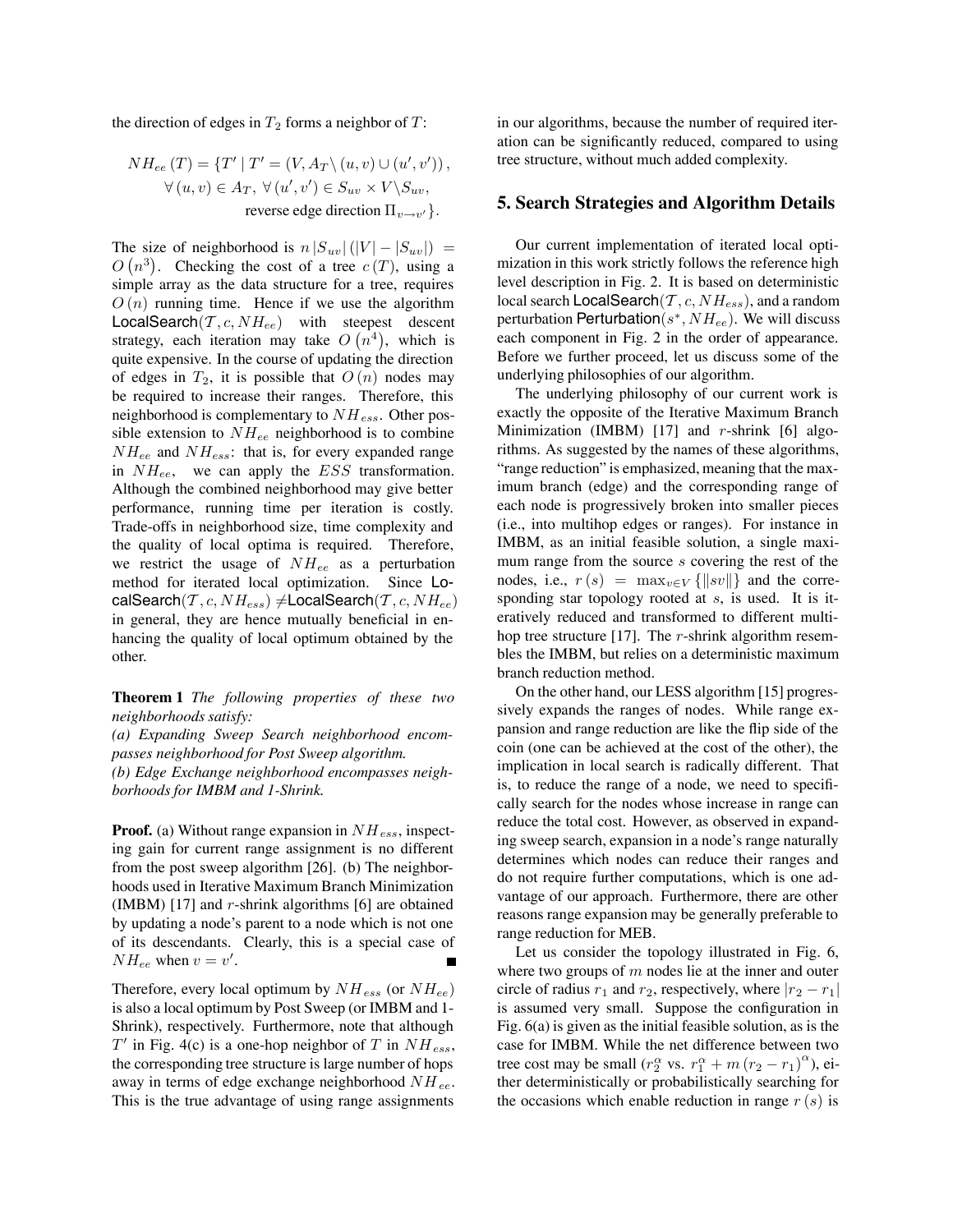the direction of edges in  $T_2$  forms a neighbor of  $T$ :

$$
NH_{ee}(T) = \{T' | T' = (V, A_T \setminus (u, v) \cup (u', v')),
$$
  

$$
\forall (u, v) \in A_T, \forall (u', v') \in S_{uv} \times V \setminus S_{uv},
$$
  
reverse edge direction  $\Pi_{v \to v'}$ .

The size of neighborhood is  $n |S_{uv}|(|V| - |S_{uv}|) =$  $O(n^3)$ . Checking the cost of a tree  $c(T)$ , using a simple array as the data structure for a tree, requires  $O(n)$  running time. Hence if we use the algorithm LocalSearch $(T, c, NH_{ee})$  with steepest descent strategy, each iteration may take  $O(n^4)$ , which is quite expensive. In the course of updating the direction of edges in  $T_2$ , it is possible that  $O(n)$  nodes may be required to increase their ranges. Therefore, this neighborhood is complementary to  $NH_{ess}$ . Other possible extension to  $NH_{ee}$  neighborhood is to combine  $NH_{ee}$  and  $NH_{ess}$ : that is, for every expanded range in  $NH_{ee}$ , we can apply the  $ESS$  transformation. Although the combined neighborhood may give better performance, running time per iteration is costly. Trade-offs in neighborhood size, time complexity and the quality of local optima is required. Therefore, we restrict the usage of  $NH_{ee}$  as a perturbation method for iterated local optimization. Since LocalSearch $(\mathcal{T}, c, NH_{ess}) \neq$ LocalSearch $(\mathcal{T}, c, NH_{ee})$ in general, they are hence mutually beneficial in enhancing the quality of local optimum obtained by the other.

**Theorem 1** *The following properties of these two neighborhoods satisfy:*

*(a) Expanding Sweep Search neighborhood encompasses neighborhood for Post Sweep algorithm. (b) Edge Exchange neighborhood encompasses neighborhoods for IMBM and 1-Shrink.*

**Proof.** (a) Without range expansion in  $NH_{ess}$ , inspecting gain for current range assignment is no different from the post sweep algorithm [26]. (b) The neighborhoods used in Iterative Maximum Branch Minimization (IMBM)  $[17]$  and r-shrink algorithms  $[6]$  are obtained by updating a node's parent to a node which is not one of its descendants. Clearly, this is a special case of  $NH_{ee}$  when  $v = v'$ .

Therefore, every local optimum by  $NH_{ess}$  (or  $NH_{ee}$ ) is also a local optimum by Post Sweep (or IMBM and 1- Shrink), respectively. Furthermore, note that although  $T'$  in Fig. 4(c) is a one-hop neighbor of T in  $NH_{ess}$ , the corresponding tree structure is large number of hops away in terms of edge exchange neighborhood  $NH_{ee}$ . This is the true advantage of using range assignments

in our algorithms, because the number of required iteration can be significantly reduced, compared to using tree structure, without much added complexity.

### **5. Search Strategies and Algorithm Details**

Our current implementation of iterated local optimization in this work strictly follows the reference high level description in Fig. 2. It is based on deterministic local search LocalSearch $(\mathcal{T}, c, NH_{ess})$ , and a random perturbation Perturbation( $s^*$ ,  $NH_{ee}$ ). We will discuss each component in Fig. 2 in the order of appearance. Before we further proceed, let us discuss some of the underlying philosophies of our algorithm.

The underlying philosophy of our current work is exactly the opposite of the Iterative Maximum Branch Minimization (IMBM) [17] and  $r$ -shrink [6] algorithms. As suggested by the names of these algorithms, "range reduction" is emphasized, meaning that the maximum branch (edge) and the corresponding range of each node is progressively broken into smaller pieces (i.e., into multihop edges or ranges). For instance in IMBM, as an initial feasible solution, a single maximum range from the source s covering the rest of the nodes, i.e.,  $r(s) = \max_{v \in V} {\{|sv|}\}$  and the corresponding star topology rooted at s, is used. It is iteratively reduced and transformed to different multihop tree structure [17]. The r-shrink algorithm resembles the IMBM, but relies on a deterministic maximum branch reduction method.

On the other hand, our LESS algorithm [15] progressively expands the ranges of nodes. While range expansion and range reduction are like the flip side of the coin (one can be achieved at the cost of the other), the implication in local search is radically different. That is, to reduce the range of a node, we need to specifically search for the nodes whose increase in range can reduce the total cost. However, as observed in expanding sweep search, expansion in a node's range naturally determines which nodes can reduce their ranges and do not require further computations, which is one advantage of our approach. Furthermore, there are other reasons range expansion may be generally preferable to range reduction for MEB.

Let us consider the topology illustrated in Fig. 6, where two groups of  $m$  nodes lie at the inner and outer circle of radius  $r_1$  and  $r_2$ , respectively, where  $|r_2 - r_1|$ is assumed very small. Suppose the configuration in Fig. 6(a) is given as the initial feasible solution, as is the case for IMBM. While the net difference between two tree cost may be small  $(r_2^{\alpha}$  vs.  $r_1^{\alpha} + m (r_2 - r_1)^{\alpha}$ ), either deterministically or probabilistically searching for the occasions which enable reduction in range  $r(s)$  is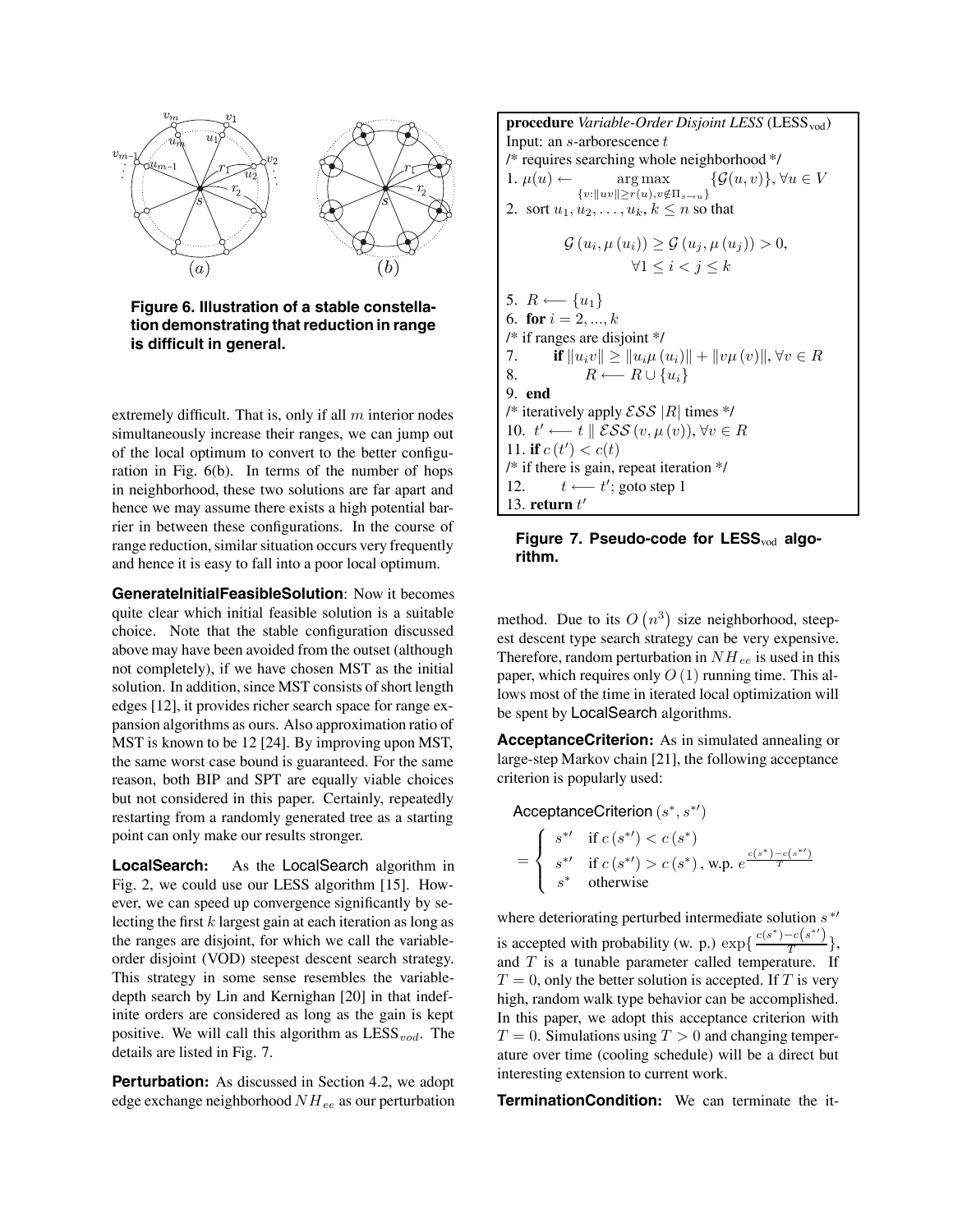

**Figure 6. Illustration of a stable constellation demonstrating that reduction in range is difficult in general.**

extremely difficult. That is, only if all  $m$  interior nodes simultaneously increase their ranges, we can jump out of the local optimum to convert to the better configuration in Fig. 6(b). In terms of the number of hops in neighborhood, these two solutions are far apart and hence we may assume there exists a high potential barrier in between these configurations. In the course of range reduction, similar situation occurs very frequently and hence it is easy to fall into a poor local optimum.

**GenerateInitialFeasibleSolution**: Now it becomes quite clear which initial feasible solution is a suitable choice. Note that the stable configuration discussed above may have been avoided from the outset (although not completely), if we have chosen MST as the initial solution. In addition, since MST consists of short length edges [12], it provides richer search space for range expansion algorithms as ours. Also approximation ratio of MST is known to be 12 [24]. By improving upon MST, the same worst case bound is guaranteed. For the same reason, both BIP and SPT are equally viable choices but not considered in this paper. Certainly, repeatedly restarting from a randomly generated tree as a starting point can only make our results stronger.

**LocalSearch:** As the LocalSearch algorithm in Fig. 2, we could use our LESS algorithm [15]. However, we can speed up convergence significantly by selecting the first  $k$  largest gain at each iteration as long as the ranges are disjoint, for which we call the variableorder disjoint (VOD) steepest descent search strategy. This strategy in some sense resembles the variabledepth search by Lin and Kernighan [20] in that indefinite orders are considered as long as the gain is kept positive. We will call this algorithm as  $LESS_{vod}$ . The details are listed in Fig. 7.

**Perturbation:** As discussed in Section 4.2, we adopt edge exchange neighborhood  $NH_{ee}$  as our perturbation

**procedure** *Variable-Order Disjoint LESS* (LESS<sub>vod</sub>) Input: an  $s$ -arborescence  $t$ /\* requires searching whole neighborhood \*/ 1.  $\mu(u) \leftarrow \text{arg max}$  $\{v:\|uv\|\geq r(u), v\not\in \Pi_{s\to u}\}$  $\{\mathcal{G}(u, v)\}, \forall u \in V$ 2. sort  $u_1, u_2, \ldots, u_k, k \leq n$  so that  $G (u_i, \mu(u_i)) \ge G (u_j, \mu(u_j)) > 0,$  $\forall 1 \leq i < j \leq k$ 5.  $R \longleftarrow \{u_1\}$ 6. **for**  $i = 2, ..., k$ /\* if ranges are disjoint \*/ 7. **if**  $||u_i v|| \ge ||u_i \mu(u_i)|| + ||v \mu(v)||, \forall v \in R$ 8.  $R \longleftarrow R \cup \{u_i\}$ 9. **end** /\* iteratively apply  $\mathcal{ESS}$  |R| times \*/ 10.  $t' \leftarrow t \parallel \mathcal{ESS}(v, \mu(v)), \forall v \in R$ 11. **if**  $c(t') < c(t)$ /\* if there is gain, repeat iteration \*/ 12.  $t \leftarrow t'$ ; goto step 1 13. **return**  $t'$ 

## Figure 7. Pseudo-code for LESS<sub>vod</sub> algo**rithm.**

method. Due to its  $O(n^3)$  size neighborhood, steepest descent type search strategy can be very expensive. Therefore, random perturbation in  $NH_{ee}$  is used in this paper, which requires only  $O(1)$  running time. This allows most of the time in iterated local optimization will be spent by LocalSearch algorithms.

**AcceptanceCriterion:** As in simulated annealing or large-step Markov chain [21], the following acceptance criterion is popularly used:

AcceptanceCriterion  $(s^*)$ , =  $\sqrt{ }$  $\int$  $\overline{\mathcal{L}}$  $s^{*'}$  if  $c(s^{*'}) < c(s^*)$  $s^{*'}$  if  $c(s^{*'}) > c(s^*)$ , w.p.  $e^{\frac{c(s^*) - c(s^{*'})}{T}}$ s<sup>∗</sup> otherwise

where deteriorating perturbed intermediate solution  $s^*$ is accepted with probability (w. p.)  $\exp\{\frac{c(s^*) - c(s^{*})}{T}\},$ and  $T$  is a tunable parameter called temperature. If  $T = 0$ , only the better solution is accepted. If T is very high, random walk type behavior can be accomplished. In this paper, we adopt this acceptance criterion with  $T = 0$ . Simulations using  $T > 0$  and changing temperature over time (cooling schedule) will be a direct but interesting extension to current work.

**TerminationCondition:** We can terminate the it-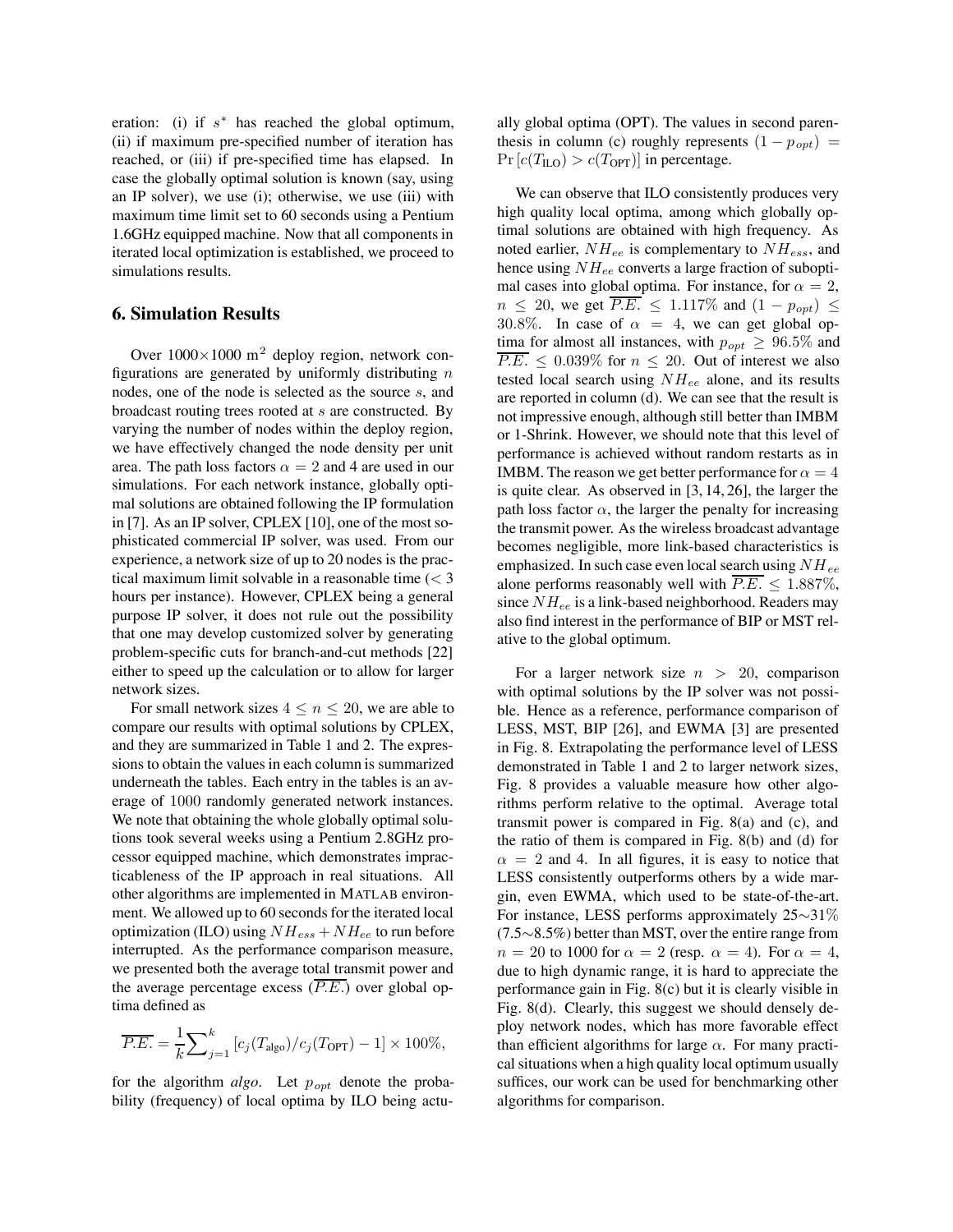eration: (i) if  $s^*$  has reached the global optimum, (ii) if maximum pre-specified number of iteration has reached, or (iii) if pre-specified time has elapsed. In case the globally optimal solution is known (say, using an IP solver), we use (i); otherwise, we use (iii) with maximum time limit set to 60 seconds using a Pentium 1.6GHz equipped machine. Now that all components in iterated local optimization is established, we proceed to simulations results.

## **6. Simulation Results**

Over  $1000\times1000$  m<sup>2</sup> deploy region, network configurations are generated by uniformly distributing  $n$ nodes, one of the node is selected as the source s, and broadcast routing trees rooted at s are constructed. By varying the number of nodes within the deploy region, we have effectively changed the node density per unit area. The path loss factors  $\alpha = 2$  and 4 are used in our simulations. For each network instance, globally optimal solutions are obtained following the IP formulation in [7]. As an IP solver, CPLEX [10], one of the most sophisticated commercial IP solver, was used. From our experience, a network size of up to 20 nodes is the practical maximum limit solvable in a reasonable time  $\langle \langle 3 \rangle$ hours per instance). However, CPLEX being a general purpose IP solver, it does not rule out the possibility that one may develop customized solver by generating problem-specific cuts for branch-and-cut methods [22] either to speed up the calculation or to allow for larger network sizes.

For small network sizes  $4 \leq n \leq 20$ , we are able to compare our results with optimal solutions by CPLEX, and they are summarized in Table 1 and 2. The expressions to obtain the values in each column is summarized underneath the tables. Each entry in the tables is an average of 1000 randomly generated network instances. We note that obtaining the whole globally optimal solutions took several weeks using a Pentium 2.8GHz processor equipped machine, which demonstrates impracticableness of the IP approach in real situations. All other algorithms are implemented in MATLAB environment. We allowed up to 60 seconds for the iterated local optimization (ILO) using  $NH_{ess} + NH_{ee}$  to run before interrupted. As the performance comparison measure, we presented both the average total transmit power and the average percentage excess  $(\overline{P.E.})$  over global optima defined as

$$
\overline{P.E.} = \frac{1}{k} \sum_{j=1}^{k} \left[ c_j(T_{\text{algo}}) / c_j(T_{\text{OPT}}) - 1 \right] \times 100\%,
$$

for the algorithm *algo*. Let  $p_{opt}$  denote the probability (frequency) of local optima by ILO being actu-

ally global optima (OPT). The values in second parenthesis in column (c) roughly represents  $(1 - p_{opt})$  =  $Pr[c(T_{\text{ILO}}) > c(T_{\text{OPT}})]$  in percentage.

We can observe that ILO consistently produces very high quality local optima, among which globally optimal solutions are obtained with high frequency. As noted earlier,  $NH_{ee}$  is complementary to  $NH_{ess}$ , and hence using  $NH_{ee}$  converts a large fraction of suboptimal cases into global optima. For instance, for  $\alpha = 2$ ,  $n \le 20$ , we get  $P.E. \le 1.117\%$  and  $(1 - p_{opt}) \le$ 30.8%. In case of  $\alpha = 4$ , we can get global optima for almost all instances, with  $p_{opt} \geq 96.5\%$  and  $P.E. \leq 0.039\%$  for  $n \leq 20$ . Out of interest we also tested local search using  $NH_{ee}$  alone, and its results are reported in column (d). We can see that the result is not impressive enough, although still better than IMBM or 1-Shrink. However, we should note that this level of performance is achieved without random restarts as in IMBM. The reason we get better performance for  $\alpha = 4$ is quite clear. As observed in [3, 14, 26], the larger the path loss factor  $\alpha$ , the larger the penalty for increasing the transmit power. As the wireless broadcast advantage becomes negligible, more link-based characteristics is emphasized. In such case even local search using  $NH_{ee}$ alone performs reasonably well with  $\overline{P.E.} \leq 1.887\%$ , since  $NH_{ee}$  is a link-based neighborhood. Readers may also find interest in the performance of BIP or MST relative to the global optimum.

For a larger network size  $n > 20$ , comparison with optimal solutions by the IP solver was not possible. Hence as a reference, performance comparison of LESS, MST, BIP [26], and EWMA [3] are presented in Fig. 8. Extrapolating the performance level of LESS demonstrated in Table 1 and 2 to larger network sizes, Fig. 8 provides a valuable measure how other algorithms perform relative to the optimal. Average total transmit power is compared in Fig. 8(a) and (c), and the ratio of them is compared in Fig. 8(b) and (d) for  $\alpha = 2$  and 4. In all figures, it is easy to notice that LESS consistently outperforms others by a wide margin, even EWMA, which used to be state-of-the-art. For instance, LESS performs approximately 25∼31% (7.5∼8.5%) better than MST, over the entire range from  $n = 20$  to 1000 for  $\alpha = 2$  (resp.  $\alpha = 4$ ). For  $\alpha = 4$ , due to high dynamic range, it is hard to appreciate the performance gain in Fig. 8(c) but it is clearly visible in Fig. 8(d). Clearly, this suggest we should densely deploy network nodes, which has more favorable effect than efficient algorithms for large  $\alpha$ . For many practical situations when a high quality local optimum usually suffices, our work can be used for benchmarking other algorithms for comparison.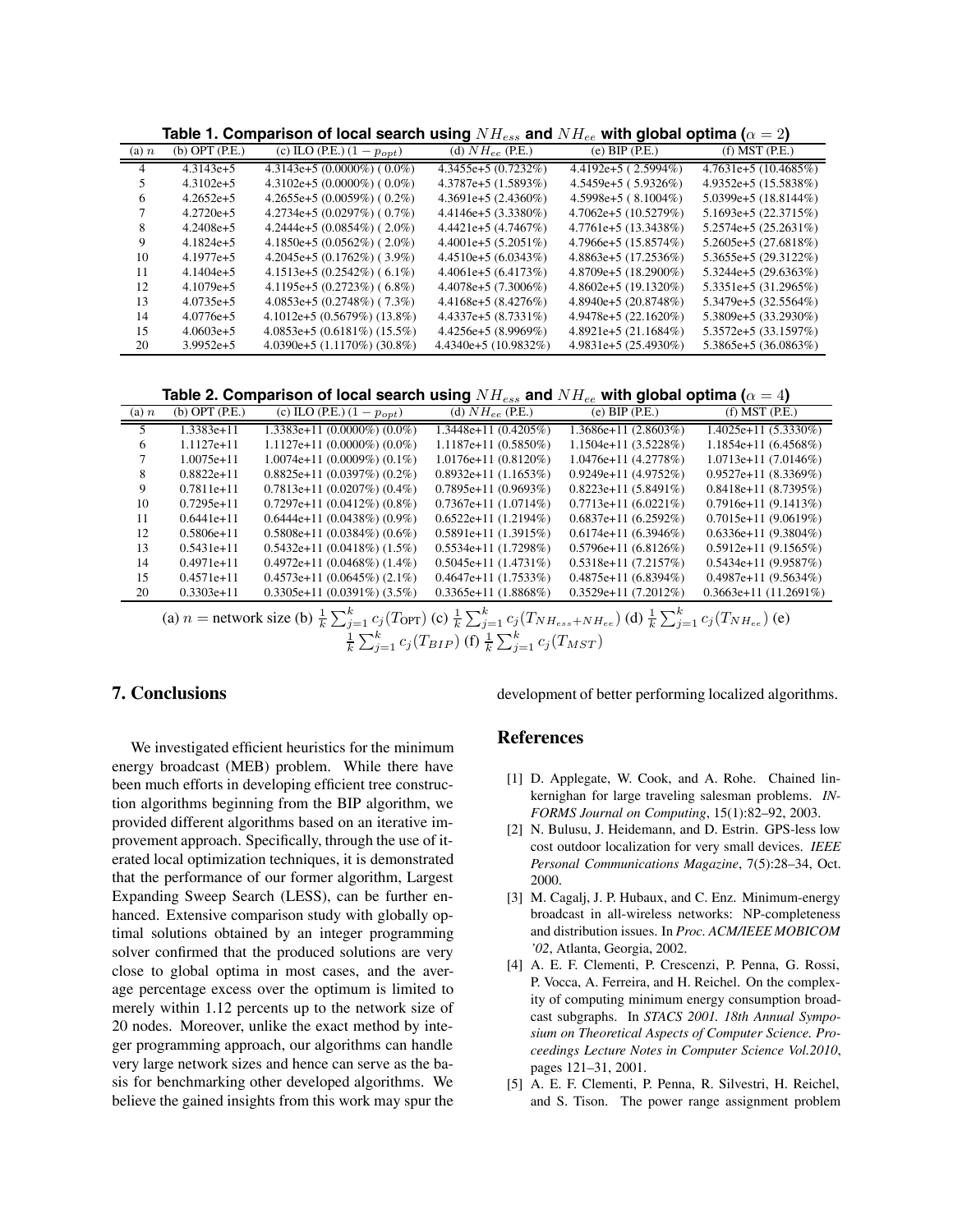| $(a)$ n | $(b)$ OPT $(P.E.)$ | (c) ILO (P.E.) $(1 - p_{opt})$    | (d) $NH_{ee}$ (P.E.)   | $(e)$ BIP $(P.E.)$    | $(f)$ MST $(P.E.)$      |
|---------|--------------------|-----------------------------------|------------------------|-----------------------|-------------------------|
|         | $4.3143e+5$        | 4.3143e+5 $(0.0000\%)$ (0.0%)     | 4.3455e+5 (0.7232%)    | $4.4192e+5(2.5994\%)$ | $4.7631e+5(10.4685%)$   |
|         | $4.3102e+5$        | 4.3102e+5 $(0.0000\%) (0.0\%)$    | $4.3787e+5(1.5893%)$   | 4.5459e+5 (5.9326%)   | 4.9352e+5 (15.5838%)    |
| o       | $4.2652e+5$        | 4.2655e+5 $(0.0059\%)$ (0.2%)     | $4.3691e+5(2.4360\%)$  | $4.5998e+5$ (8.1004%) | 5.0399e+5 $(18.8144\%)$ |
|         | $4.2720e+5$        | 4.2734e+5 $(0.0297%) (0.7%)$      | 4.4146e+5 (3.3380%)    | $4.7062e+5(10.5279%)$ | $5.1693e+5(22.3715%)$   |
|         | $4.2408e+5$        | 4.2444e+5 $(0.0854\%)$ (2.0%)     | $4.4421e+5(4.7467%)$   | 4.7761e+5 (13.3438%)  | 5.2574e+5 (25.2631%)    |
|         | $4.1824e+5$        | 4.1850e+5 $(0.0562\%)$ (2.0%)     | $4.4001e+5(5.2051%)$   | 4.7966e+5 (15.8574%)  | $5.2605e+5(27.6818%)$   |
| 10      | $4.1977e+5$        | $4.2045e+5(0.1762%)$ (3.9%)       | $4.4510e+5(6.0343%)$   | 4.8863e+5 (17.2536%)  | 5.3655e+5 (29.3122%)    |
| 11      | $4.1404e+5$        | 4.1513e+5 $(0.2542\%)$ (6.1%)     | $4.4061e+5(6.4173%)$   | 4.8709e+5 (18.2900%)  | $5.3244e+5(29.6363%)$   |
| 12      | $4.1079e+5$        | $4.1195e+5(0.2723%)$ (6.8%)       | $4.4078e+5(7.3006\%)$  | 4.8602e+5 (19.1320%)  | 5.3351e+5 (31.2965%)    |
| 13      | $4.0735e+5$        | $4.0853e+5(0.2748%)$ (7.3%)       | $4.4168e+5(8.4276%)$   | 4.8940e+5 (20.8748%)  | 5.3479e+5 (32.5564%)    |
| 14      | $4.0776e+5$        | $4.1012e+5(0.5679%)(13.8%)$       | $4.4337e+5(8.7331\%)$  | $4.9478e+5(22.1620%)$ | 5.3809e+5 (33.2930%)    |
| 15      | $4.0603e+5$        | $4.0853e+5(0.6181\%)(15.5\%)$     | $4.4256e+5(8.9969%)$   | $4.8921e+5(21.1684%)$ | $5.3572e+5(33.1597%)$   |
| 20      | $3.9952e+5$        | 4.0390e+5 $(1.1170\%)$ $(30.8\%)$ | $4.4340e+5(10.9832\%)$ | 4.9831e+5 (25.4930%)  | 5.3865e+5 (36.0863%)    |

**Table 1. Comparison of local search using**  $NH_{es}$  and  $NH_{ee}$  with global optima ( $\alpha = 2$ )

**Table 2. Comparison of local search using**  $NH_{ess}$  and  $NH_{ee}$  with global optima ( $\alpha = 4$ )

| (a) n | $(b)$ OPT $(P.E.)$ | (c) ILO (P.E.) $(1 - p_{opt})$                                              | (d) $NH_{ee}$ (P.E.)   | $(e)$ BIP $(P.E.)$                          | $(f)$ MST $(P.E.)$     |
|-------|--------------------|-----------------------------------------------------------------------------|------------------------|---------------------------------------------|------------------------|
|       | 1.3383e+11         | $1.3383e+11(0.0000\%)(0.0\%)$                                               | $1.3448e+11(0.4205\%)$ | $1.3686e+11(2.8603%)$                       | $1.4025e+11(5.3330%)$  |
| 6     | $1.1127e + 11$     | $1.1127e+11(0.0000\%)(0.0\%)$                                               | $1.1187e+11(0.5850%)$  | $1.1504e+11(3.5228%)$                       | $1.1854e+11(6.4568%)$  |
|       | $1.0075e+11$       | $1.0074e+11(0.0009%)(0.1%)$                                                 | $1.0176e+11(0.8120%)$  | $1.0476e+11(4.2778%)$                       | $1.0713e+11(7.0146%)$  |
| 8     | $0.8822e+11$       | $0.8825e+11(0.0397%)(0.2%)$                                                 | $0.8932e+11(1.1653%)$  | $0.9249e+11(4.9752%)$                       | $0.9527e+11(8.3369%)$  |
| 9     | $0.7811e+11$       | $0.7813e+11(0.0207%)$ (0.4%)                                                | $0.7895e+11(0.9693%)$  | $0.8223e+11(5.8491\%)$                      | $0.8418e+11(8.7395%)$  |
| 10    | $0.7295e+11$       | $0.7297e+11(0.0412\%)(0.8\%)$                                               | $0.7367e+11(1.0714\%)$ | $0.7713e+11(6.0221%)$                       | $0.7916e+11(9.1413%)$  |
| 11    | $0.6441e+11$       | $0.6444e+11(0.0438\%)$ (0.9%)                                               | $0.6522e+11(1.2194\%)$ | $0.6837e+11(6.2592\%)$                      | $0.7015e+11(9.0619%)$  |
| 12    | $0.5806e+11$       | $0.5808e+11(0.0384\%)(0.6\%)$                                               | $0.5891e+11(1.3915%)$  | $0.6174e+11(6.3946\%)$                      | $0.6336e+11(9.3804\%)$ |
| 13    | $0.5431e+11$       | $0.5432e+11(0.0418\%)$ (1.5%)                                               | $0.5534e+11(1.7298\%)$ | $0.5796e+11(6.8126%)$                       | $0.5912e+11(9.1565%)$  |
| 14    | $0.4971e+11$       | $0.4972e+11(0.0468\%)$ (1.4%)                                               | $0.5045e+11(1.4731\%)$ | $0.5318e+11(7.2157%)$                       | $0.5434e+11(9.9587%)$  |
| 15    | $0.4571e+11$       | $0.4573e+11(0.0645%)$ (2.1%)                                                | $0.4647e+11(1.7533%)$  | $0.4875e+11(6.8394\%)$                      | $0.4987e+11(9.5634%)$  |
| 20    | $0.3303e+11$       | $0.3305e+11(0.0391\%)$ (3.5%)                                               | $0.3365e+11(1.8868%)$  | $0.3529e+11(7.2012\%)$                      | $0.3663e+11(11.2691%)$ |
|       |                    | $\infty$ extends in $\infty$ $\mathbb{R}^k$ (T) $\infty$ $\mathbb{R}^k$ (T) |                        | $\lambda$ and $\mathbb{R}^k$ (m $\lambda$ ) |                        |

(a)  $n =$  network size (b)  $\frac{1}{k} \sum_{j=1}^{k} c_j(T_{\text{OPT}})$  (c)  $\frac{1}{k} \sum_{j=1}^{k} c_j(T_{NH_{ess}+NH_{ee}})$  (d)  $\frac{1}{k} \sum_{j=1}^{k} c_j(T_{NH_{ee}})$  (e)  $\frac{1}{k} \sum_{j=1}^{k} c_j(T_{BIP})$  (f)  $\frac{1}{k} \sum_{j=1}^{k} c_j(T_{MST})$ 

## **7. Conclusions**

We investigated efficient heuristics for the minimum energy broadcast (MEB) problem. While there have been much efforts in developing efficient tree construction algorithms beginning from the BIP algorithm, we provided different algorithms based on an iterative improvement approach. Specifically, through the use of iterated local optimization techniques, it is demonstrated that the performance of our former algorithm, Largest Expanding Sweep Search (LESS), can be further enhanced. Extensive comparison study with globally optimal solutions obtained by an integer programming solver confirmed that the produced solutions are very close to global optima in most cases, and the average percentage excess over the optimum is limited to merely within 1.12 percents up to the network size of 20 nodes. Moreover, unlike the exact method by integer programming approach, our algorithms can handle very large network sizes and hence can serve as the basis for benchmarking other developed algorithms. We believe the gained insights from this work may spur the

development of better performing localized algorithms.

## **References**

- [1] D. Applegate, W. Cook, and A. Rohe. Chained linkernighan for large traveling salesman problems. *IN-FORMS Journal on Computing*, 15(1):82–92, 2003.
- [2] N. Bulusu, J. Heidemann, and D. Estrin. GPS-less low cost outdoor localization for very small devices. *IEEE Personal Communications Magazine*, 7(5):28–34, Oct. 2000.
- [3] M. Cagalj, J. P. Hubaux, and C. Enz. Minimum-energy broadcast in all-wireless networks: NP-completeness and distribution issues. In *Proc. ACM/IEEE MOBICOM '02*, Atlanta, Georgia, 2002.
- [4] A. E. F. Clementi, P. Crescenzi, P. Penna, G. Rossi, P. Vocca, A. Ferreira, and H. Reichel. On the complexity of computing minimum energy consumption broadcast subgraphs. In *STACS 2001. 18th Annual Symposium on Theoretical Aspects of Computer Science. Proceedings Lecture Notes in Computer Science Vol.2010*, pages 121–31, 2001.
- [5] A. E. F. Clementi, P. Penna, R. Silvestri, H. Reichel, and S. Tison. The power range assignment problem